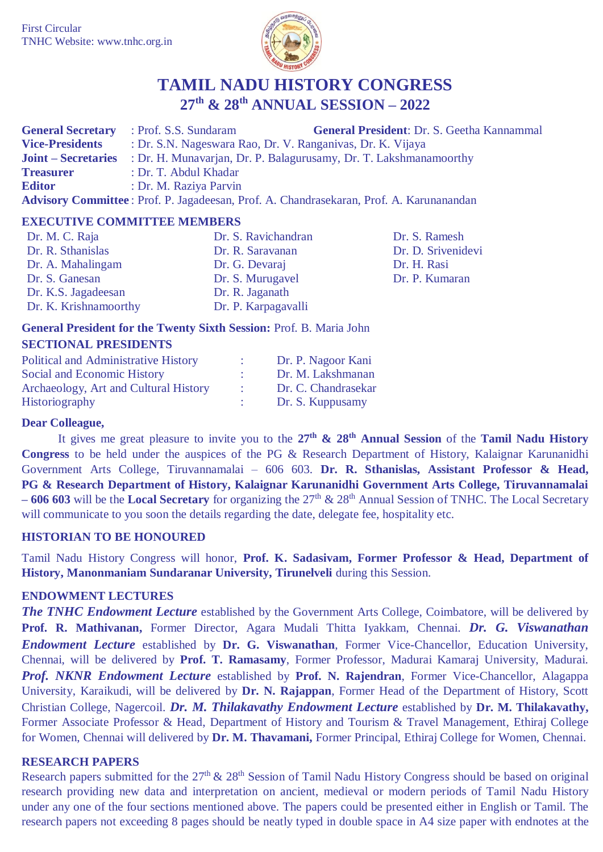

# **TAMIL NADU HISTORY CONGRESS 27th & 28th ANNUAL SESSION – 2022**

|                        | <b>General Secretary</b> : Prof. S.S. Sundaram | <b>General President: Dr. S. Geetha Kannammal</b>                                            |
|------------------------|------------------------------------------------|----------------------------------------------------------------------------------------------|
| <b>Vice-Presidents</b> |                                                | : Dr. S.N. Nageswara Rao, Dr. V. Ranganivas, Dr. K. Vijaya                                   |
|                        |                                                | <b>Joint – Secretaries</b> : Dr. H. Munavarjan, Dr. P. Balagurusamy, Dr. T. Lakshmanamoorthy |
| <b>Treasurer</b>       | : Dr. T. Abdul Khadar                          |                                                                                              |
| <b>Editor</b>          | : Dr. M. Raziya Parvin                         |                                                                                              |
|                        |                                                | Advisory Committee: Prof. P. Jagadeesan, Prof. A. Chandrasekaran, Prof. A. Karunanandan      |

#### **EXECUTIVE COMMITTEE MEMBERS**

| Dr. M. C. Raja        | Dr. S. Ravichandran | Dr. S. Ramesh      |
|-----------------------|---------------------|--------------------|
| Dr. R. Sthanislas     | Dr. R. Saravanan    | Dr. D. Srivenidevi |
| Dr. A. Mahalingam     | Dr. G. Devaraj      | Dr. H. Rasi        |
| Dr. S. Ganesan        | Dr. S. Murugavel    | Dr. P. Kumaran     |
| Dr. K.S. Jagadeesan   | Dr. R. Jaganath     |                    |
| Dr. K. Krishnamoorthy | Dr. P. Karpagavalli |                    |

# **General President for the Twenty Sixth Session:** Prof. B. Maria John **SECTIONAL PRESIDENTS**

| <b>Political and Administrative History</b> | Dr. P. Nagoor Kani  |
|---------------------------------------------|---------------------|
| Social and Economic History                 | Dr. M. Lakshmanan   |
| Archaeology, Art and Cultural History       | Dr. C. Chandrasekar |
| Historiography                              | Dr. S. Kuppusamy    |

## **Dear Colleague,**

It gives me great pleasure to invite you to the **27th & 28th Annual Session** of the **Tamil Nadu History Congress** to be held under the auspices of the PG & Research Department of History, Kalaignar Karunanidhi Government Arts College, Tiruvannamalai – 606 603. **Dr. R. Sthanislas, Assistant Professor & Head, PG & Research Department of History, Kalaignar Karunanidhi Government Arts College, Tiruvannamalai – 606 603** will be the **Local Secretary** for organizing the 27th & 28th Annual Session of TNHC. The Local Secretary will communicate to you soon the details regarding the date, delegate fee, hospitality etc.

## **HISTORIAN TO BE HONOURED**

Tamil Nadu History Congress will honor, **Prof. K. Sadasivam, Former Professor & Head, Department of History, Manonmaniam Sundaranar University, Tirunelveli** during this Session.

## **ENDOWMENT LECTURES**

*The TNHC Endowment Lecture* established by the Government Arts College, Coimbatore, will be delivered by **Prof. R. Mathivanan,** Former Director, Agara Mudali Thitta Iyakkam, Chennai. *Dr. G. Viswanathan Endowment Lecture* established by **Dr. G. Viswanathan**, Former Vice-Chancellor, Education University, Chennai, will be delivered by **Prof. T. Ramasamy**, Former Professor, Madurai Kamaraj University, Madurai. *Prof. NKNR Endowment Lecture* established by **Prof. N. Rajendran**, Former Vice-Chancellor, Alagappa University, Karaikudi, will be delivered by **Dr. N. Rajappan**, Former Head of the Department of History, Scott Christian College, Nagercoil. *Dr. M. Thilakavathy Endowment Lecture* established by **Dr. M. Thilakavathy,** Former Associate Professor & Head, Department of History and Tourism & Travel Management, Ethiraj College for Women, Chennai will delivered by **Dr. M. Thavamani,** Former Principal, Ethiraj College for Women, Chennai.

#### **RESEARCH PAPERS**

Research papers submitted for the  $27<sup>th</sup>$  &  $28<sup>th</sup>$  Session of Tamil Nadu History Congress should be based on original research providing new data and interpretation on ancient, medieval or modern periods of Tamil Nadu History under any one of the four sections mentioned above. The papers could be presented either in English or Tamil. The research papers not exceeding 8 pages should be neatly typed in double space in A4 size paper with endnotes at the